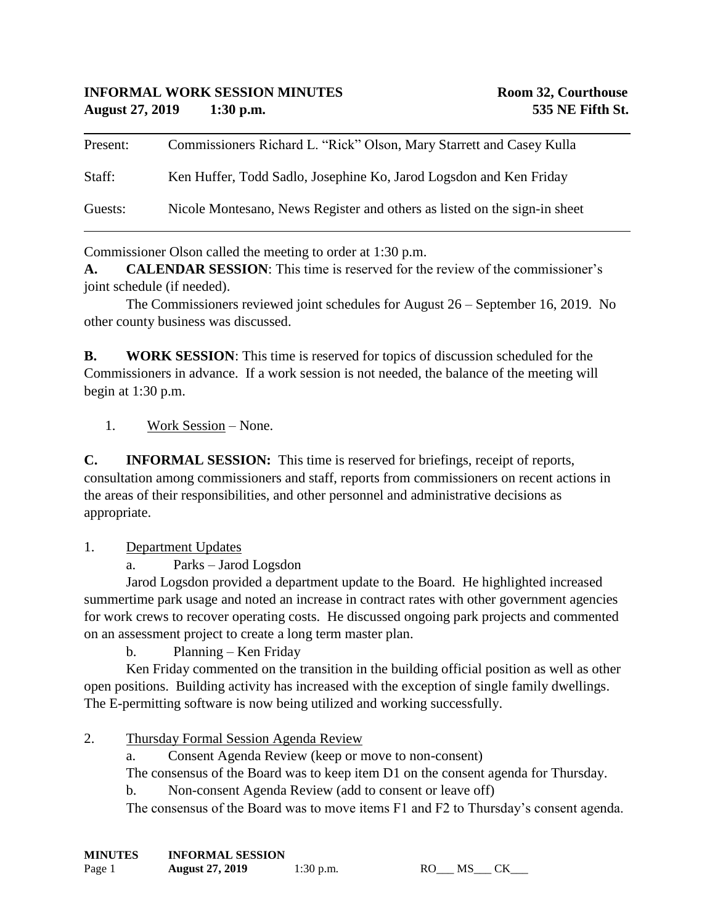## **INFORMAL WORK SESSION MINUTES Room 32, Courthouse August 27, 2019 1:30 p.m. 535 NE Fifth St.**

| Present: | Commissioners Richard L. "Rick" Olson, Mary Starrett and Casey Kulla      |
|----------|---------------------------------------------------------------------------|
| Staff:   | Ken Huffer, Todd Sadlo, Josephine Ko, Jarod Logsdon and Ken Friday        |
| Guests:  | Nicole Montesano, News Register and others as listed on the sign-in sheet |

Commissioner Olson called the meeting to order at 1:30 p.m.

**A. CALENDAR SESSION**: This time is reserved for the review of the commissioner's joint schedule (if needed).

The Commissioners reviewed joint schedules for August 26 – September 16, 2019. No other county business was discussed.

**B. WORK SESSION**: This time is reserved for topics of discussion scheduled for the Commissioners in advance. If a work session is not needed, the balance of the meeting will begin at 1:30 p.m.

1. Work Session – None.

**C. INFORMAL SESSION:** This time is reserved for briefings, receipt of reports, consultation among commissioners and staff, reports from commissioners on recent actions in the areas of their responsibilities, and other personnel and administrative decisions as appropriate.

1. Department Updates

a. Parks – Jarod Logsdon

Jarod Logsdon provided a department update to the Board. He highlighted increased summertime park usage and noted an increase in contract rates with other government agencies for work crews to recover operating costs. He discussed ongoing park projects and commented on an assessment project to create a long term master plan.

b. Planning – Ken Friday

Ken Friday commented on the transition in the building official position as well as other open positions. Building activity has increased with the exception of single family dwellings. The E-permitting software is now being utilized and working successfully.

- 2. Thursday Formal Session Agenda Review
	- a. Consent Agenda Review (keep or move to non-consent)

The consensus of the Board was to keep item D1 on the consent agenda for Thursday.

b. Non-consent Agenda Review (add to consent or leave off)

The consensus of the Board was to move items F1 and F2 to Thursday's consent agenda.

| <b>MINUTES</b> | <b>INFORMAL SESSION</b> |           |
|----------------|-------------------------|-----------|
| Page 1         | <b>August 27, 2019</b>  | 1:30 p.m. |

RO\_\_\_ MS\_\_\_ CK\_\_\_